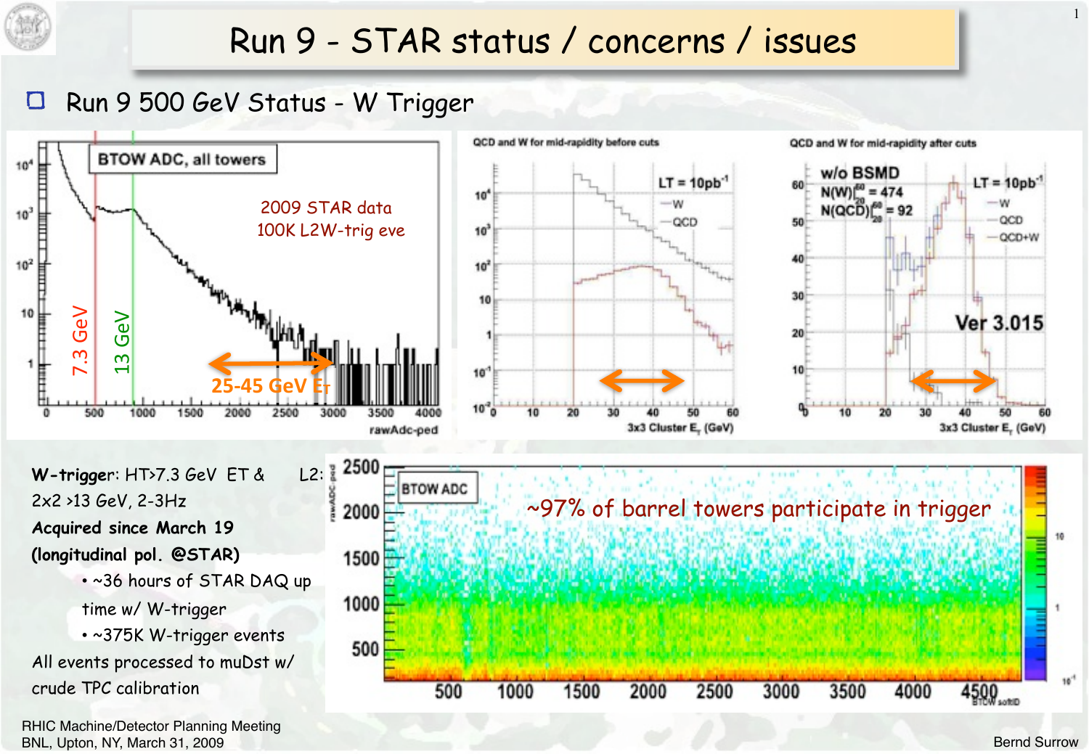

# Run 9 - STAR status / concerns / issues

#### $\Box$ Run 9 500 GeV Status - W Trigger



RHIC Machine/Detector Planning Meeting BNL, Upton, NY, March 31, 2009

1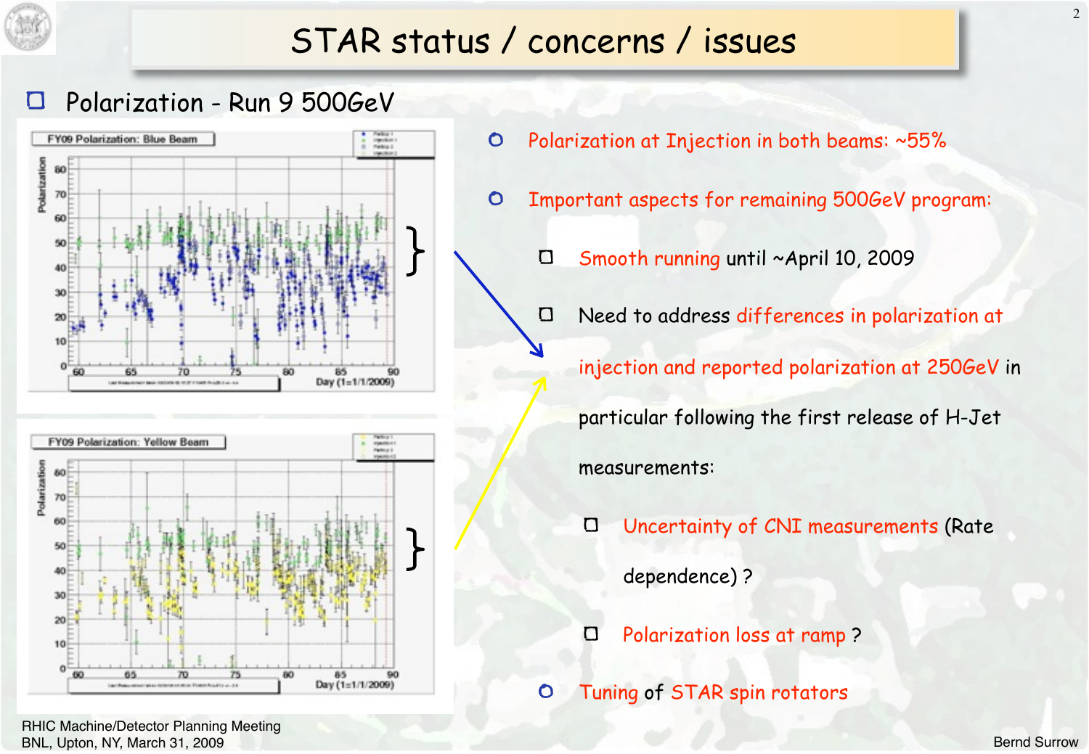

## STAR status / concerns / issues

#### Polarization - Run 9 500GeV





 $\circ$ Polarization at Injection in both beams: ~55%

- $\circ$ Important aspects for remaining 500GeV program:
	- Smooth running until ~April 10, 2009  $\Box$

 $\Box$ Need to address differences in polarization at

injection and reported polarization at 250GeV in

particular following the first release of H-Jet

measurements:

- $\Box$ Uncertainty of CNI measurements (Rate dependence) ?
- $\Box$ Polarization loss at ramp ?
- Tuning of STAR spin rotators  $\bullet$

RHIC Machine/Detector Planning Meeting BNL, Upton, NY, March 31, 2009

2